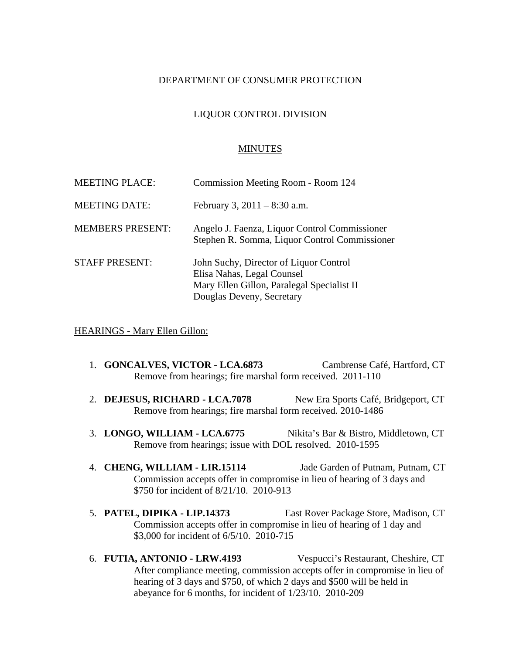## DEPARTMENT OF CONSUMER PROTECTION

# LIQUOR CONTROL DIVISION

#### MINUTES

| <b>MEETING PLACE:</b>   | Commission Meeting Room - Room 124                                                                                                              |
|-------------------------|-------------------------------------------------------------------------------------------------------------------------------------------------|
| <b>MEETING DATE:</b>    | February 3, $2011 - 8:30$ a.m.                                                                                                                  |
| <b>MEMBERS PRESENT:</b> | Angelo J. Faenza, Liquor Control Commissioner<br>Stephen R. Somma, Liquor Control Commissioner                                                  |
| <b>STAFF PRESENT:</b>   | John Suchy, Director of Liquor Control<br>Elisa Nahas, Legal Counsel<br>Mary Ellen Gillon, Paralegal Specialist II<br>Douglas Deveny, Secretary |

#### HEARINGS - Mary Ellen Gillon:

- 1. **GONCALVES, VICTOR LCA.6873** Cambrense Café, Hartford, CT Remove from hearings; fire marshal form received. 2011-110
- 2. **DEJESUS, RICHARD LCA.7078** New Era Sports Café, Bridgeport, CT Remove from hearings; fire marshal form received. 2010-1486
- 3. LONGO, WILLIAM LCA.6775 Nikita's Bar & Bistro, Middletown, CT Remove from hearings; issue with DOL resolved. 2010-1595
- 4. **CHENG, WILLIAM LIR.15114** Jade Garden of Putnam, Putnam, CT Commission accepts offer in compromise in lieu of hearing of 3 days and \$750 for incident of 8/21/10. 2010-913
- 5. **PATEL, DIPIKA LIP.14373** East Rover Package Store, Madison, CT Commission accepts offer in compromise in lieu of hearing of 1 day and \$3,000 for incident of 6/5/10. 2010-715
- 6. **FUTIA, ANTONIO LRW.4193** Vespucci's Restaurant, Cheshire, CT After compliance meeting, commission accepts offer in compromise in lieu of hearing of 3 days and \$750, of which 2 days and \$500 will be held in abeyance for 6 months, for incident of 1/23/10. 2010-209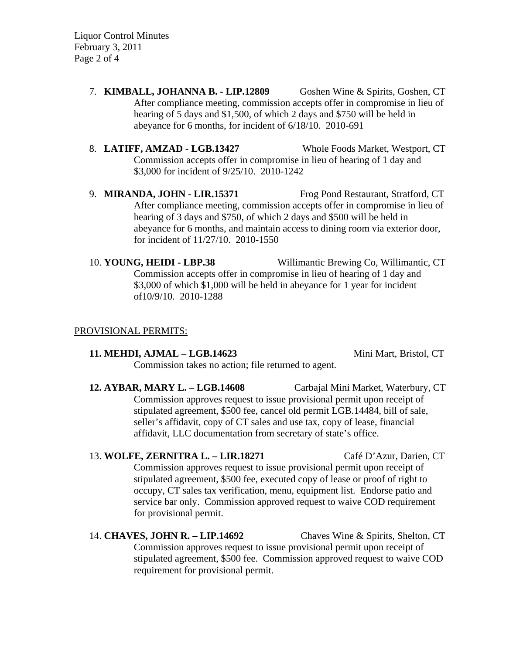Liquor Control Minutes February 3, 2011 Page 2 of 4

- 7. **KIMBALL, JOHANNA B. LIP.12809** Goshen Wine & Spirits, Goshen, CT After compliance meeting, commission accepts offer in compromise in lieu of hearing of 5 days and \$1,500, of which 2 days and \$750 will be held in abeyance for 6 months, for incident of 6/18/10. 2010-691
- 8. **LATIFF, AMZAD LGB.13427** Whole Foods Market, Westport, CT Commission accepts offer in compromise in lieu of hearing of 1 day and \$3,000 for incident of 9/25/10. 2010-1242

9. **MIRANDA, JOHN - LIR.15371** Frog Pond Restaurant, Stratford, CT After compliance meeting, commission accepts offer in compromise in lieu of hearing of 3 days and \$750, of which 2 days and \$500 will be held in abeyance for 6 months, and maintain access to dining room via exterior door, for incident of 11/27/10. 2010-1550

10. **YOUNG, HEIDI - LBP.38** Willimantic Brewing Co, Willimantic, CT Commission accepts offer in compromise in lieu of hearing of 1 day and \$3,000 of which \$1,000 will be held in abeyance for 1 year for incident of10/9/10. 2010-1288

#### PROVISIONAL PERMITS:

#### **11. MEHDI, AJMAL – LGB.14623** Mini Mart, Bristol, CT

Commission takes no action; file returned to agent.

**12. AYBAR, MARY L. – LGB.14608** Carbajal Mini Market, Waterbury, CT Commission approves request to issue provisional permit upon receipt of stipulated agreement, \$500 fee, cancel old permit LGB.14484, bill of sale, seller's affidavit, copy of CT sales and use tax, copy of lease, financial affidavit, LLC documentation from secretary of state's office.

# 13. **WOLFE, ZERNITRA L. – LIR.18271** Café D'Azur, Darien, CT Commission approves request to issue provisional permit upon receipt of stipulated agreement, \$500 fee, executed copy of lease or proof of right to occupy, CT sales tax verification, menu, equipment list. Endorse patio and service bar only. Commission approved request to waive COD requirement for provisional permit.

# 14. **CHAVES, JOHN R. – LIP.14692** Chaves Wine & Spirits, Shelton, CT Commission approves request to issue provisional permit upon receipt of stipulated agreement, \$500 fee. Commission approved request to waive COD requirement for provisional permit.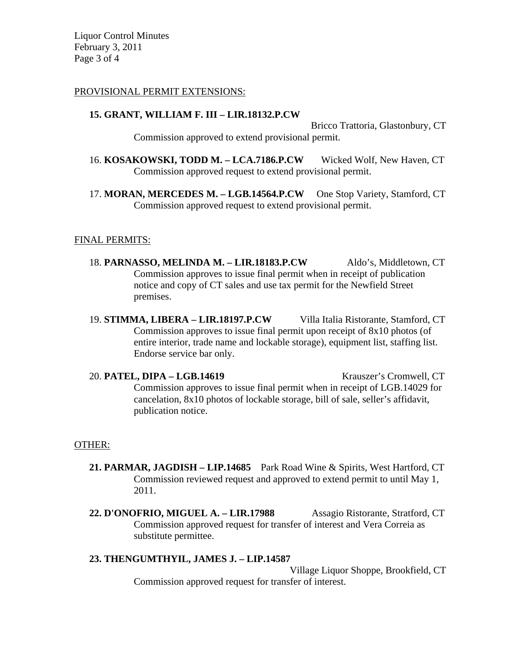Liquor Control Minutes February 3, 2011 Page 3 of 4

## PROVISIONAL PERMIT EXTENSIONS:

## **15. GRANT, WILLIAM F. III – LIR.18132.P.CW**

Bricco Trattoria, Glastonbury, CT Commission approved to extend provisional permit.

- 16. **KOSAKOWSKI, TODD M. LCA.7186.P.CW** Wicked Wolf, New Haven, CT Commission approved request to extend provisional permit.
- 17. **MORAN, MERCEDES M. LGB.14564.P.CW** One Stop Variety, Stamford, CT Commission approved request to extend provisional permit.

# FINAL PERMITS:

- 18. **PARNASSO, MELINDA M. LIR.18183.P.CW** Aldo's, Middletown, CT Commission approves to issue final permit when in receipt of publication notice and copy of CT sales and use tax permit for the Newfield Street premises.
- 19. **STIMMA, LIBERA LIR.18197.P.CW** Villa Italia Ristorante, Stamford, CT Commission approves to issue final permit upon receipt of 8x10 photos (of entire interior, trade name and lockable storage), equipment list, staffing list. Endorse service bar only.

20. **PATEL, DIPA – LGB.14619** Krauszer's Cromwell, CT Commission approves to issue final permit when in receipt of LGB.14029 for cancelation, 8x10 photos of lockable storage, bill of sale, seller's affidavit, publication notice.

### OTHER:

- **21. PARMAR, JAGDISH LIP.14685** Park Road Wine & Spirits, West Hartford, CT Commission reviewed request and approved to extend permit to until May 1, 2011.
- **22. D'ONOFRIO, MIGUEL A. LIR.17988** Assagio Ristorante, Stratford, CT Commission approved request for transfer of interest and Vera Correia as substitute permittee.

# **23. THENGUMTHYIL, JAMES J. – LIP.14587**

Village Liquor Shoppe, Brookfield, CT Commission approved request for transfer of interest.